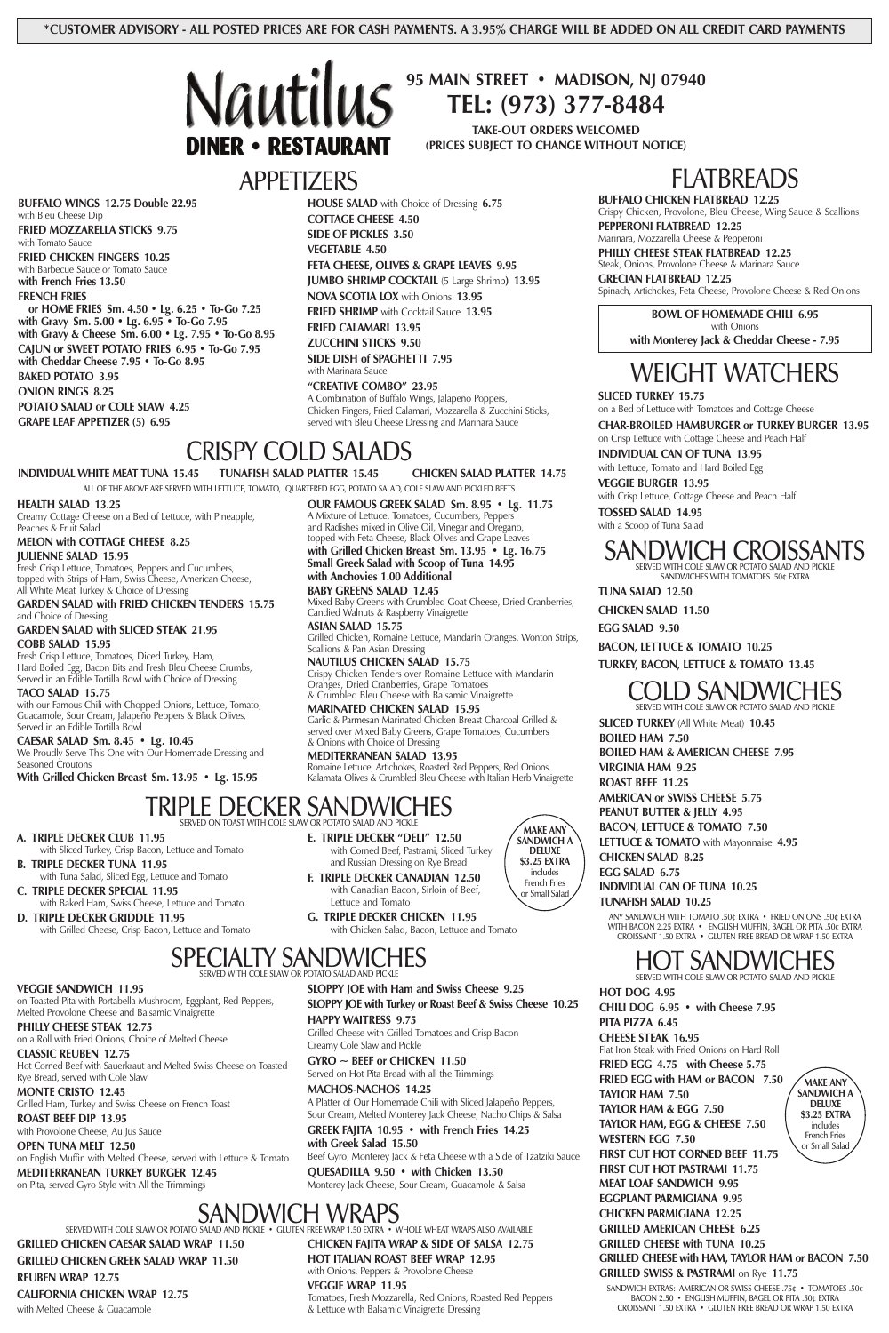### APPETIZERS

**BUFFALO WINGS 12.75 Double 22.95** with Bleu Cheese Dip **FRIED MOZZARELLA STICKS 9.75**

with Tomato Sauce

**FRIED CHICKEN FINGERS 10.25** with Barbecue Sauce or Tomato Sauce **with French Fries 13.50**

#### **FRENCH FRIES**

**or HOME FRIES Sm. 4.50 • Lg. 6.25 • To-Go 7.25 with Gravy Sm. 5.00 • Lg. 6.95 • To-Go 7.95 with Gravy & Cheese Sm. 6.00 • Lg. 7.95 • To-Go 8.95 CAJUN or SWEET POTATO FRIES 6.95 • To-Go 7.95 with Cheddar Cheese 7.95 • To-Go 8.95 BAKED POTATO 3.95 ONION RINGS 8.25 POTATO SALAD or COLE SLAW 4.25 GRAPE LEAF APPETIZER (5) 6.95**

**HOUSE SALAD** with Choice of Dressing **6.75 COTTAGE CHEESE 4.50 SIDE OF PICKLES 3.50 VEGETABLE 4.50 FETA CHEESE, OLIVES & GRAPE LEAVES 9.95 JUMBO SHRIMP COCKTAIL** (5 Large Shrimp**) 13.95 NOVA SCOTIA LOX** with Onions **13.95 FRIED SHRIMP** with Cocktail Sauce **13.95 FRIED CALAMARI 13.95 ZUCCHINI STICKS 9.50 SIDE DISH of SPAGHETTI 7.95** with Marinara Sauce

**"CREATIVE COMBO" 23.95** A Combination of Buffalo Wings, Jalapeño Poppers, Chicken Fingers, Fried Calamari, Mozzarella & Zucchini Sticks, served with Bleu Cheese Dressing and Marinara Sauce

**BOWL OF HOMEMADE CHILI 6.95** with Onions **with Monterey Jack & Cheddar Cheese - 7.95**

# FLATBREADS

**BUFFALO CHICKEN FLATBREAD 12.25**

Crispy Chicken, Provolone, Bleu Cheese, Wing Sauce & Scallions **PEPPERONI FLATBREAD 12.25**

Marinara, Mozzarella Cheese & Pepperoni

**PHILLY CHEESE STEAK FLATBREAD 12.25** Steak, Onions, Provolone Cheese & Marinara Sauce

**GRECIAN FLATBREAD 12.25**

Spinach, Artichokes, Feta Cheese, Provolone Cheese & Red Onions

### CRISPY COLD SALADS

SERVED ON TOAST WITH COLE SLAW OR POTATO SALAD AND PICKLE

**A. TRIPLE DECKER CLUB 11.95**

with Sliced Turkey, Crisp Bacon, Lettuce and Tomato

**B. TRIPLE DECKER TUNA 11.95** with Tuna Salad, Sliced Egg, Lettuce and Tomato

**C. TRIPLE DECKER SPECIAL 11.95** with Baked Ham, Swiss Cheese, Lettuce and Tomato

ALL OF THE ABOVE ARE SERVED WITH LETTUCE, TOMATO, QUARTERED EGG, POTATO SALAD, COLE SLAW AND PICKLED BEETS **INDIVIDUAL WHITE MEAT TUNA 15.45 TUNAFISH SALAD PLATTER 15.45 CHICKEN SALAD PLATTER 14.75**

**D. TRIPLE DECKER GRIDDLE 11.95**

**E. TRIPLE DECKER "DELI" 12.50** with Corned Beef, Pastrami, Sliced Turkey and Russian Dressing on Rye Bread

**F. TRIPLE DECKER CANADIAN 12.50** with Canadian Bacon, Sirloin of Beef, Lettuce and Tomato

**G. TRIPLE DECKER CHICKEN 11.95**

with Chicken Salad, Bacon, Lettuce and Tomato

**MAKE ANY SANDWICH A DELUXE \$3.25 EXTRA** includes French Fries or Small Salad

#### **HEALTH SALAD 13.25**

Creamy Cottage Cheese on a Bed of Lettuce, with Pineapple, Peaches & Fruit Salad

### J SANDWIG SERVED WITH COLE SLAW OR POTATO SALAD AND PICKLE

#### **MELON with COTTAGE CHEESE 8.25 JULIENNE SALAD 15.95**

Fresh Crisp Lettuce, Tomatoes, Peppers and Cucumbers, topped with Strips of Ham, Swiss Cheese, American Cheese, All White Meat Turkey & Choice of Dressing

**GARDEN SALAD with FRIED CHICKEN TENDERS 15.75** and Choice of Dressing

**GARDEN SALAD with SLICED STEAK 21.95**

**COBB SALAD 15.95**

Fresh Crisp Lettuce, Tomatoes, Diced Turkey, Ham, Hard Boiled Egg, Bacon Bits and Fresh Bleu Cheese Crumbs, Served in an Edible Tortilla Bowl with Choice of Dressing

**TACO SALAD 15.75**

with our Famous Chili with Chopped Onions, Lettuce, Tomato, Guacamole, Sour Cream, Jalapeño Peppers & Black Olives, Served in an Edible Tortilla Bowl

**CAESAR SALAD Sm. 8.45 • Lg. 10.45** We Proudly Serve This One with Our Homemade Dressing and Seasoned Croutons

**With Grilled Chicken Breast Sm. 13.95 • Lg. 15.95**

# TRIPLE DECKER SANDWI

**OUR FAMOUS GREEK SALAD Sm. 8.95 • Lg. 11.75**

A Mixture of Lettuce, Tomatoes, Cucumbers, Peppers and Radishes mixed in Olive Oil, Vinegar and Oregano, topped with Feta Cheese, Black Olives and Grape Leaves **with Grilled Chicken Breast Sm. 13.95 • Lg. 16.75**

**Small Greek Salad with Scoop of Tuna 14.95**

**with Anchovies 1.00 Additional BABY GREENS SALAD 12.45**

Mixed Baby Greens with Crumbled Goat Cheese, Dried Cranberries,

Candied Walnuts & Raspberry Vinaigrette

**ASIAN SALAD 15.75**

Grilled Chicken, Romaine Lettuce, Mandarin Oranges, Wonton Strips,

Scallions & Pan Asian Dressing

**NAUTILUS CHICKEN SALAD 15.75**

Crispy Chicken Tenders over Romaine Lettuce with Mandarin

Oranges, Dried Cranberries, Grape Tomatoes & Crumbled Bleu Cheese with Balsamic Vinaigrette

**MARINATED CHICKEN SALAD 15.95**

Garlic & Parmesan Marinated Chicken Breast Charcoal Grilled & served over Mixed Baby Greens, Grape Tomatoes, Cucumbers

& Onions with Choice of Dressing **MEDITERRANEAN SALAD 13.95**

Romaine Lettuce, Artichokes, Roasted Red Peppers, Red Onions, Kalamata Olives & Crumbled Bleu Cheese with Italian Herb Vinaigrette

# WEIGHT WATCHERS

#### **SLICED TURKEY 15.75**

on a Bed of Lettuce with Tomatoes and Cottage Cheese

**CHAR-BROILED HAMBURGER or TURKEY BURGER 13.95** on Crisp Lettuce with Cottage Cheese and Peach Half

**INDIVIDUAL CAN OF TUNA 13.95**

with Lettuce, Tomato and Hard Boiled Egg **VEGGIE BURGER 13.95**

with Crisp Lettuce, Cottage Cheese and Peach Half

**TOSSED SALAD 14.95** with a Scoop of Tuna Salad

### SANDWICH CROISSANTS

SERVED WITH COLE SLAW OR POTATO SALAD AND PICKLE SANDWICHES WITH TOMATOES .50¢ EXTRA

**TUNA SALAD 12.50**

**CHICKEN SALAD 11.50**

**EGG SALAD 9.50**

**BACON, LETTUCE & TOMATO 10.25**

**TURKEY, BACON, LETTUCE & TOMATO 13.45**

### SPECIALTY SANDWICHES SERVED WITH COLE SLAW OR POTATO SALAD AND PICKLE

#### **VEGGIE SANDWICH 11.95**

on Toasted Pita with Portabella Mushroom, Eggplant, Red Peppers, Melted Provolone Cheese and Balsamic Vinaigrette

**PHILLY CHEESE STEAK 12.75** on a Roll with Fried Onions, Choice of Melted Cheese

#### **CLASSIC REUBEN 12.75**

Hot Corned Beef with Sauerkraut and Melted Swiss Cheese on Toasted Rye Bread, served with Cole Slaw

**MONTE CRISTO 12.45** Grilled Ham, Turkey and Swiss Cheese on French Toast

**ROAST BEEF DIP 13.95** with Provolone Cheese, Au Jus Sauce

**OPEN TUNA MELT 12.50** on English Muffin with Melted Cheese, served with Lettuce & Tomato

**MEDITERRANEAN TURKEY BURGER 12.45**

on Pita, served Gyro Style with All the Trimmings

**SLOPPY JOE with Ham and Swiss Cheese 9.25**

**SLOPPY JOE with Turkey or Roast Beef & Swiss Cheese 10.25**

#### **HAPPY WAITRESS 9.75**

Grilled Cheese with Grilled Tomatoes and Crisp Bacon Creamy Cole Slaw and Pickle

**GYRO ~ BEEF or CHICKEN 11.50** Served on Hot Pita Bread with all the Trimmings

#### **MACHOS-NACHOS 14.25**

A Platter of Our Homemade Chili with Sliced Jalapeño Peppers, Sour Cream, Melted Monterey Jack Cheese, Nacho Chips & Salsa

#### **GREEK FAJITA 10.95 • with French Fries 14.25 with Greek Salad 15.50**

Beef Gyro, Monterey Jack & Feta Cheese with a Side of Tzatziki Sauce

**QUESADILLA 9.50 • with Chicken 13.50** Monterey Jack Cheese, Sour Cream, Guacamole & Salsa **SLICED TURKEY** (All White Meat) **10.45 BOILED HAM 7.50**

**BOILED HAM & AMERICAN CHEESE 7.95**

**VIRGINIA HAM 9.25**

**ROAST BEEF 11.25**

**AMERICAN or SWISS CHEESE 5.75**

**PEANUT BUTTER & JELLY 4.95**

**BACON, LETTUCE & TOMATO 7.50**

**LETTUCE & TOMATO** with Mayonnaise **4.95**

**CHICKEN SALAD 8.25**

**EGG SALAD 6.75**

**INDIVIDUAL CAN OF TUNA 10.25 TUNAFISH SALAD 10.25**

ANY SANDWICH WITH TOMATO .50¢ EXTRA • FRIED ONIONS .50¢ EXTRA

WITH BACON 2.25 EXTRA • ENGLISH MUFFIN, BAGEL OR PITA .50¢ EXTRA CROISSANT 1.50 EXTRA • GLUTEN FREE BREAD OR WRAP 1.50 EXTRA

### HOT SANDWICHES SERVED WITH COLE SLAW OR POTATO SALAD AND PICKLE

BACON 2.50 • ENGLISH MUFFIN, BAGEL OR PITA .50¢ EXTRA CROISSANT 1.50 EXTRA • GLUTEN FREE BREAD OR WRAP 1.50 EXTRA

**HOT DOG 4.95 CHILI DOG 6.95 • with Cheese 7.95 PITA PIZZA 6.45 CHEESE STEAK 16.95** Flat Iron Steak with Fried Onions on Hard Roll **FRIED EGG 4.75 with Cheese 5.75 FRIED EGG with HAM or BACON 7.50 TAYLOR HAM 7.50 TAYLOR HAM & EGG 7.50 TAYLOR HAM, EGG & CHEESE 7.50 WESTERN EGG 7.50 FIRST CUT HOT CORNED BEEF 11.75 FIRST CUT HOT PASTRAMI 11.75 MEAT LOAF SANDWICH 9.95 EGGPLANT PARMIGIANA 9.95 CHICKEN PARMIGIANA 12.25 GRILLED AMERICAN CHEESE 6.25 GRILLED CHEESE with TUNA 10.25 GRILLED CHEESE with HAM, TAYLOR HAM or BACON 7.50 GRILLED SWISS & PASTRAMI** on Rye **11.75** SANDWICH EXTRAS: AMERICAN OR SWISS CHEESE .75¢ • TOMATOES .50¢ **MAKE ANY SANDWICH A \$3.25 EXTRA** French Fries or Small Salad

### SANDWICH WRAPS

SERVED WITH COLE SLAW OR POTATO SALAD AND PICKLE • GLUTEN FREE WRAP 1.50 EXTRA • WHOLE WHEAT WRAPS ALSO AVAILABLE

### **GRILLED CHICKEN CAESAR SALAD WRAP 11.50 GRILLED CHICKEN GREEK SALAD WRAP 11.50**

**REUBEN WRAP 12.75**

#### **CALIFORNIA CHICKEN WRAP 12.75**

with Melted Cheese & Guacamole

**CHICKEN FAJITA WRAP & SIDE OF SALSA 12.75 HOT ITALIAN ROAST BEEF WRAP 12.95** with Onions, Peppers & Provolone Cheese

#### **VEGGIE WRAP 11.95**

Tomatoes, Fresh Mozzarella, Red Onions, Roasted Red Peppers & Lettuce with Balsamic Vinaigrette Dressing



**95 MAIN STREET • MADISON, NJ 07940 TEL: (973) 377-8484**

**TAKE-OUT ORDERS WELCOMED (PRICES SUBJECT TO CHANGE WITHOUT NOTICE)**

**DELUXE**

includes